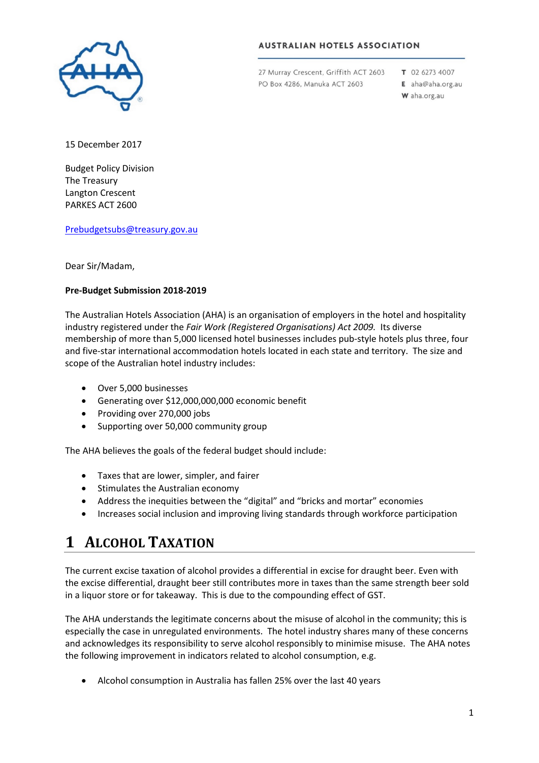

#### **AUSTRALIAN HOTELS ASSOCIATION**

27 Murray Crescent, Griffith ACT 2603 PO Box 4286, Manuka ACT 2603

T 02 6273 4007

E aha@aha.org.au W aha.org.au

15 December 2017

Budget Policy Division The Treasury Langton Crescent PARKES ACT 2600

[Prebudgetsubs@treasury.gov.au](mailto:prebudgetsubs@treasury.gov.au)

Dear Sir/Madam,

#### **Pre-Budget Submission 2018-2019**

The Australian Hotels Association (AHA) is an organisation of employers in the hotel and hospitality industry registered under the *Fair Work (Registered Organisations) Act 2009.* Its diverse membership of more than 5,000 licensed hotel businesses includes pub-style hotels plus three, four and five-star international accommodation hotels located in each state and territory. The size and scope of the Australian hotel industry includes:

- Over 5,000 businesses
- Generating over \$12,000,000,000 economic benefit
- Providing over 270,000 jobs
- Supporting over 50,000 community group

The AHA believes the goals of the federal budget should include:

- Taxes that are lower, simpler, and fairer
- Stimulates the Australian economy
- Address the inequities between the "digital" and "bricks and mortar" economies
- Increases social inclusion and improving living standards through workforce participation

### **1 ALCOHOL TAXATION**

The current excise taxation of alcohol provides a differential in excise for draught beer. Even with the excise differential, draught beer still contributes more in taxes than the same strength beer sold in a liquor store or for takeaway. This is due to the compounding effect of GST.

The AHA understands the legitimate concerns about the misuse of alcohol in the community; this is especially the case in unregulated environments. The hotel industry shares many of these concerns and acknowledges its responsibility to serve alcohol responsibly to minimise misuse. The AHA notes the following improvement in indicators related to alcohol consumption, e.g.

• Alcohol consumption in Australia has fallen 25% over the last 40 years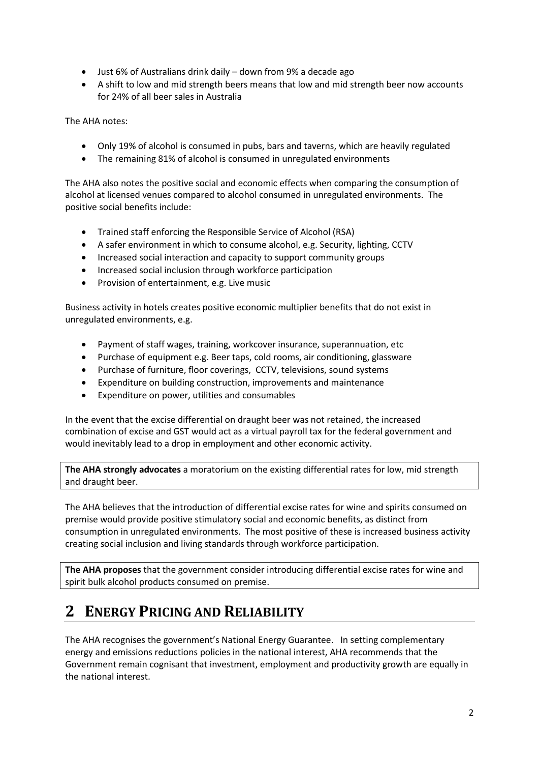- Just 6% of Australians drink daily down from 9% a decade ago
- A shift to low and mid strength beers means that low and mid strength beer now accounts for 24% of all beer sales in Australia

The AHA notes:

- Only 19% of alcohol is consumed in pubs, bars and taverns, which are heavily regulated
- The remaining 81% of alcohol is consumed in unregulated environments

The AHA also notes the positive social and economic effects when comparing the consumption of alcohol at licensed venues compared to alcohol consumed in unregulated environments. The positive social benefits include:

- Trained staff enforcing the Responsible Service of Alcohol (RSA)
- A safer environment in which to consume alcohol, e.g. Security, lighting, CCTV
- Increased social interaction and capacity to support community groups
- Increased social inclusion through workforce participation
- Provision of entertainment, e.g. Live music

Business activity in hotels creates positive economic multiplier benefits that do not exist in unregulated environments, e.g.

- Payment of staff wages, training, workcover insurance, superannuation, etc
- Purchase of equipment e.g. Beer taps, cold rooms, air conditioning, glassware
- Purchase of furniture, floor coverings, CCTV, televisions, sound systems
- Expenditure on building construction, improvements and maintenance
- Expenditure on power, utilities and consumables

In the event that the excise differential on draught beer was not retained, the increased combination of excise and GST would act as a virtual payroll tax for the federal government and would inevitably lead to a drop in employment and other economic activity.

**The AHA strongly advocates** a moratorium on the existing differential rates for low, mid strength and draught beer.

The AHA believes that the introduction of differential excise rates for wine and spirits consumed on premise would provide positive stimulatory social and economic benefits, as distinct from consumption in unregulated environments. The most positive of these is increased business activity creating social inclusion and living standards through workforce participation.

**The AHA proposes** that the government consider introducing differential excise rates for wine and spirit bulk alcohol products consumed on premise.

# **2 ENERGY PRICING AND RELIABILITY**

The AHA recognises the government's National Energy Guarantee. In setting complementary energy and emissions reductions policies in the national interest, AHA recommends that the Government remain cognisant that investment, employment and productivity growth are equally in the national interest.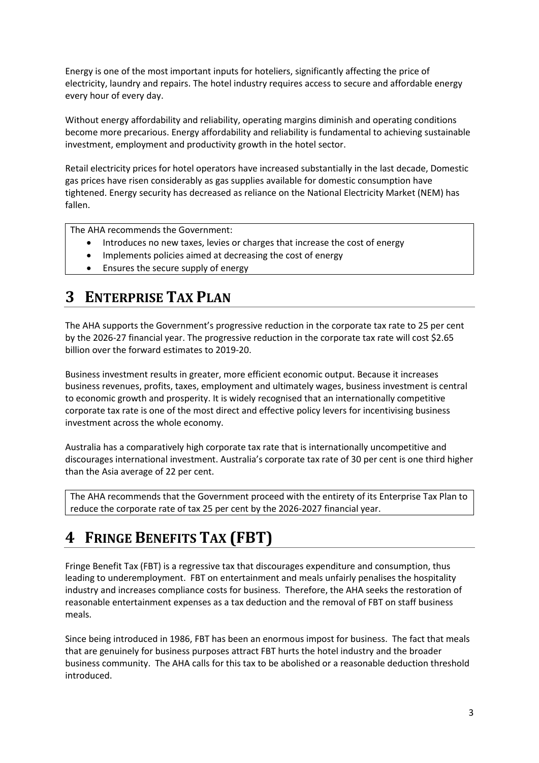Energy is one of the most important inputs for hoteliers, significantly affecting the price of electricity, laundry and repairs. The hotel industry requires access to secure and affordable energy every hour of every day.

Without energy affordability and reliability, operating margins diminish and operating conditions become more precarious. Energy affordability and reliability is fundamental to achieving sustainable investment, employment and productivity growth in the hotel sector.

Retail electricity prices for hotel operators have increased substantially in the last decade, Domestic gas prices have risen considerably as gas supplies available for domestic consumption have tightened. Energy security has decreased as reliance on the National Electricity Market (NEM) has fallen.

The AHA recommends the Government:

- Introduces no new taxes, levies or charges that increase the cost of energy
- Implements policies aimed at decreasing the cost of energy
- Ensures the secure supply of energy

# **3 ENTERPRISE TAX PLAN**

The AHA supports the Government's progressive reduction in the corporate tax rate to 25 per cent by the 2026-27 financial year. The progressive reduction in the corporate tax rate will cost \$2.65 billion over the forward estimates to 2019-20.

Business investment results in greater, more efficient economic output. Because it increases business revenues, profits, taxes, employment and ultimately wages, business investment is central to economic growth and prosperity. It is widely recognised that an internationally competitive corporate tax rate is one of the most direct and effective policy levers for incentivising business investment across the whole economy.

Australia has a comparatively high corporate tax rate that is internationally uncompetitive and discourages international investment. Australia's corporate tax rate of 30 per cent is one third higher than the Asia average of 22 per cent.

The AHA recommends that the Government proceed with the entirety of its Enterprise Tax Plan to reduce the corporate rate of tax 25 per cent by the 2026-2027 financial year.

# **4 FRINGE BENEFITS TAX (FBT)**

Fringe Benefit Tax (FBT) is a regressive tax that discourages expenditure and consumption, thus leading to underemployment. FBT on entertainment and meals unfairly penalises the hospitality industry and increases compliance costs for business. Therefore, the AHA seeks the restoration of reasonable entertainment expenses as a tax deduction and the removal of FBT on staff business meals.

Since being introduced in 1986, FBT has been an enormous impost for business. The fact that meals that are genuinely for business purposes attract FBT hurts the hotel industry and the broader business community. The AHA calls for this tax to be abolished or a reasonable deduction threshold introduced.